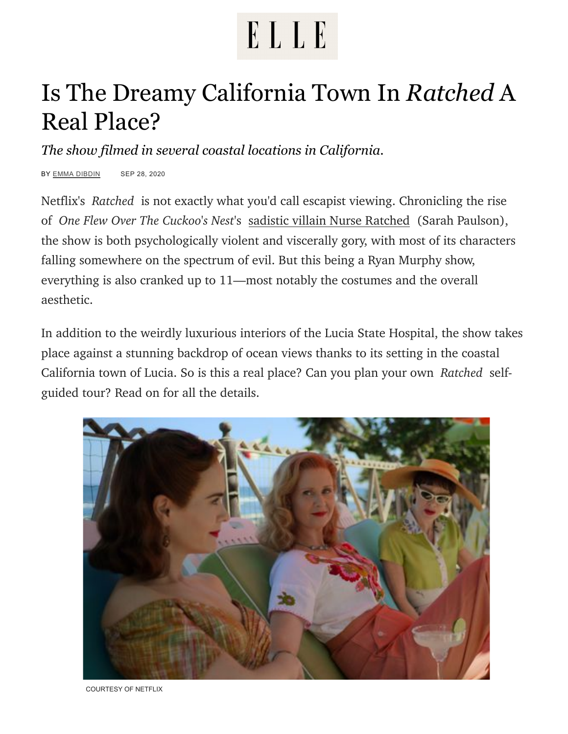## ELLE

## Is The Dreamy California Town In *Ratched* A Real Place?

*The show filmed in several coastal locations in California.*

BY [EMMA DIBDIN](https://www.elle.com/author/13132/emma-dibdin/) SEP 28, 2020

Netflix's *Ratched* is not exactly what you'd call escapist viewing. Chronicling the rise of *One Flew Over The Cuckoo's Nest*'s [sadistic villain Nurse Ratched](https://www.elle.com/culture/movies-tv/a34061117/nurse-mildred-ratched-facts/) (Sarah Paulson), the show is both psychologically violent and viscerally gory, with most of its characters falling somewhere on the spectrum of evil. But this being a Ryan Murphy show, everything is also cranked up to 11—most notably the costumes and the overall aesthetic.

In addition to the weirdly luxurious interiors of the Lucia State Hospital, the show takes place against a stunning backdrop of ocean views thanks to its setting in the coastal California town of Lucia. So is this a real place? Can you plan your own *Ratched* selfguided tour? Read on for all the details.



COURTESY OF NETFLIX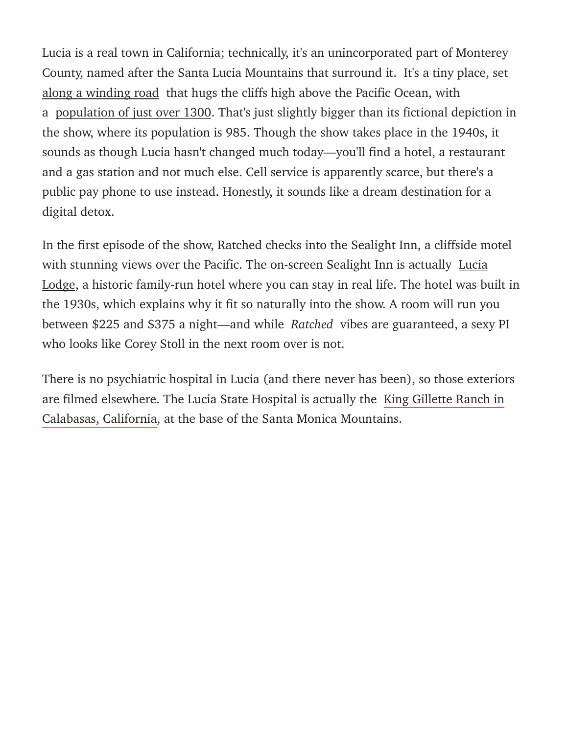Lucia is a real town in California; technically, it's an unincorporated part of Monterey County, named after the Santa Lucia Mountains that surround it. It's a tiny place, set along a winding road that hugs the cliffs high above the Pacific Ocean, with a [population of just over 1300.](https://places.us.com/california/lucia/) That's just slightly bigger than its fictional depiction in the show, where its population is 985. Though the show takes place in the 1940s, it sounds as though Lucia hasn't changed much today—you'll find a hotel, a restaurant and a gas station and not much else. Cell service is apparently scarce, but there's a public pay phone to use instead. Honestly, it sounds like a dream destination for a digital detox.

In the first episode of the show, Ratched checks into the Sealight Inn, a cliffside motel with stunning views over the Pacific. The on-screen Sealight Inn is actually Lucia Lodge, a historic family-run hotel where you can stay in real life. The hotel was built in the 1930s, which explains why it fit so naturally into the show. A room will run you between \$225 and \$375 a night—and while *Ratched* vibes are guaranteed, a sexy PI who looks like Corey Stoll in the next room over is not.

There is no psychiatric hospital in Lucia (and there never has been), so those exteriors [are filmed elsewhere. The Lucia State Hospital is actually the King Gillette Ranch in](http://www.seecalifornia.com/california-cities/lucia.html) Calabasas, California, at the base of the Santa Monica Mountains.